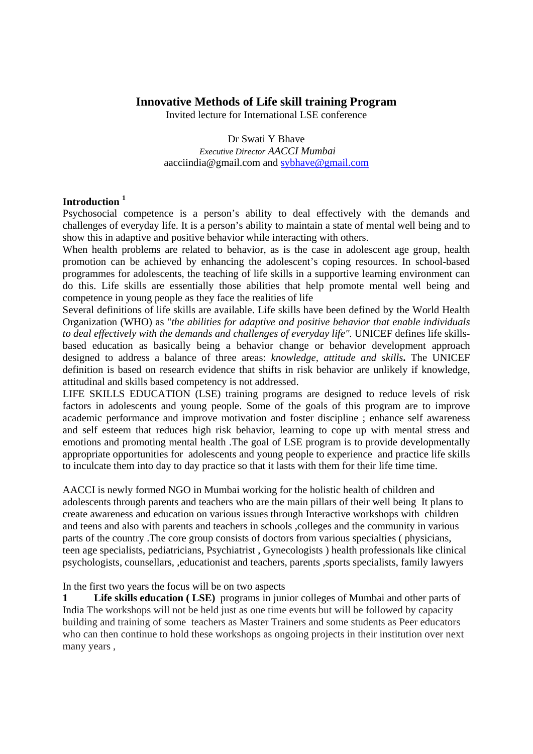# **Innovative Methods of Life skill training Program**

Invited lecture for International LSE conference

Dr Swati Y Bhave *Executive Director AACCI Mumbai* aacciindia@gmail.com and sybhave@gmail.com

# **Introduction <sup>1</sup>**

Psychosocial competence is a person's ability to deal effectively with the demands and challenges of everyday life. It is a person's ability to maintain a state of mental well being and to show this in adaptive and positive behavior while interacting with others.

When health problems are related to behavior, as is the case in adolescent age group, health promotion can be achieved by enhancing the adolescent's coping resources. In school-based programmes for adolescents, the teaching of life skills in a supportive learning environment can do this. Life skills are essentially those abilities that help promote mental well being and competence in young people as they face the realities of life

Several definitions of life skills are available. Life skills have been defined by the World Health Organization (WHO) as "*the abilities for adaptive and positive behavior that enable individuals to deal effectively with the demands and challenges of everyday life".* UNICEF defines life skillsbased education as basically being a behavior change or behavior development approach designed to address a balance of three areas: *knowledge, attitude and skills***.** The UNICEF definition is based on research evidence that shifts in risk behavior are unlikely if knowledge, attitudinal and skills based competency is not addressed.

LIFE SKILLS EDUCATION (LSE) training programs are designed to reduce levels of risk factors in adolescents and young people. Some of the goals of this program are to improve academic performance and improve motivation and foster discipline ; enhance self awareness and self esteem that reduces high risk behavior, learning to cope up with mental stress and emotions and promoting mental health .The goal of LSE program is to provide developmentally appropriate opportunities for adolescents and young people to experience and practice life skills to inculcate them into day to day practice so that it lasts with them for their life time time.

AACCI is newly formed NGO in Mumbai working for the holistic health of children and adolescents through parents and teachers who are the main pillars of their well being It plans to create awareness and education on various issues through Interactive workshops with children and teens and also with parents and teachers in schools ,colleges and the community in various parts of the country .The core group consists of doctors from various specialties ( physicians, teen age specialists, pediatricians, Psychiatrist , Gynecologists ) health professionals like clinical psychologists, counsellars, ,educationist and teachers, parents ,sports specialists, family lawyers

In the first two years the focus will be on two aspects

**1 Life skills education ( LSE)** programs in junior colleges of Mumbai and other parts of India The workshops will not be held just as one time events but will be followed by capacity building and training of some teachers as Master Trainers and some students as Peer educators who can then continue to hold these workshops as ongoing projects in their institution over next many years ,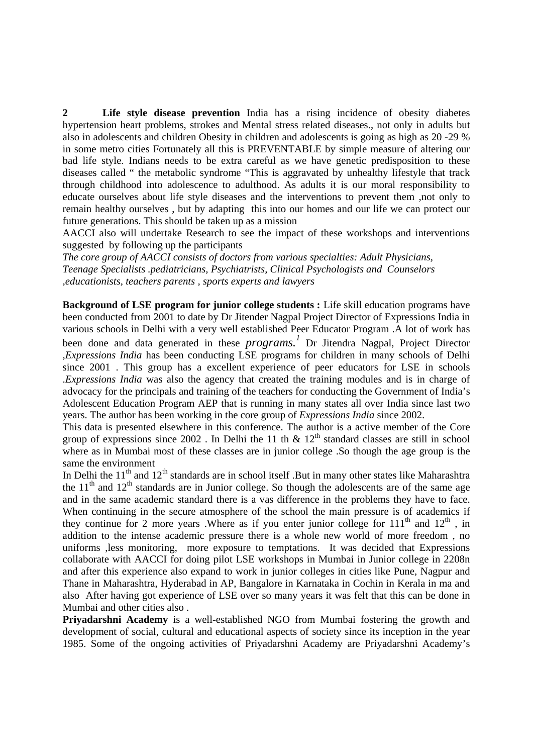**2 Life style disease prevention** India has a rising incidence of obesity diabetes hypertension heart problems, strokes and Mental stress related diseases., not only in adults but also in adolescents and children Obesity in children and adolescents is going as high as 20 -29 % in some metro cities Fortunately all this is PREVENTABLE by simple measure of altering our bad life style. Indians needs to be extra careful as we have genetic predisposition to these diseases called " the metabolic syndrome "This is aggravated by unhealthy lifestyle that track through childhood into adolescence to adulthood. As adults it is our moral responsibility to educate ourselves about life style diseases and the interventions to prevent them ,not only to remain healthy ourselves , but by adapting this into our homes and our life we can protect our future generations. This should be taken up as a mission

AACCI also will undertake Research to see the impact of these workshops and interventions suggested by following up the participants

*The core group of AACCI consists of doctors from various specialties: Adult Physicians, Teenage Specialists .pediatricians, Psychiatrists, Clinical Psychologists and Counselors ,educationists, teachers parents , sports experts and lawyers* 

**Background of LSE program for junior college students :** Life skill education programs have been conducted from 2001 to date by Dr Jitender Nagpal Project Director of Expressions India in various schools in Delhi with a very well established Peer Educator Program .A lot of work has been done and data generated in these *programs*.<sup>1</sup> Dr Jitendra Nagpal, Project Director ,*Expressions India* has been conducting LSE programs for children in many schools of Delhi since 2001 . This group has a excellent experience of peer educators for LSE in schools .*Expressions India* was also the agency that created the training modules and is in charge of advocacy for the principals and training of the teachers for conducting the Government of India's Adolescent Education Program AEP that is running in many states all over India since last two years. The author has been working in the core group of *Expressions India* since 2002.

This data is presented elsewhere in this conference. The author is a active member of the Core group of expressions since  $2002$ . In Delhi the 11 th &  $12<sup>th</sup>$  standard classes are still in school where as in Mumbai most of these classes are in junior college .So though the age group is the same the environment

In Delhi the  $11<sup>th</sup>$  and  $12<sup>th</sup>$  standards are in school itself. But in many other states like Maharashtra the  $11<sup>th</sup>$  and  $12<sup>th</sup>$  standards are in Junior college. So though the adolescents are of the same age and in the same academic standard there is a vas difference in the problems they have to face. When continuing in the secure atmosphere of the school the main pressure is of academics if they continue for 2 more years. Where as if you enter junior college for  $111<sup>th</sup>$  and  $12<sup>th</sup>$ , in addition to the intense academic pressure there is a whole new world of more freedom , no uniforms ,less monitoring, more exposure to temptations. It was decided that Expressions collaborate with AACCI for doing pilot LSE workshops in Mumbai in Junior college in 2208n and after this experience also expand to work in junior colleges in cities like Pune, Nagpur and Thane in Maharashtra, Hyderabad in AP, Bangalore in Karnataka in Cochin in Kerala in ma and also After having got experience of LSE over so many years it was felt that this can be done in Mumbai and other cities also .

**Priyadarshni Academy** is a well-established NGO from Mumbai fostering the growth and development of social, cultural and educational aspects of society since its inception in the year 1985. Some of the ongoing activities of Priyadarshni Academy are Priyadarshni Academy's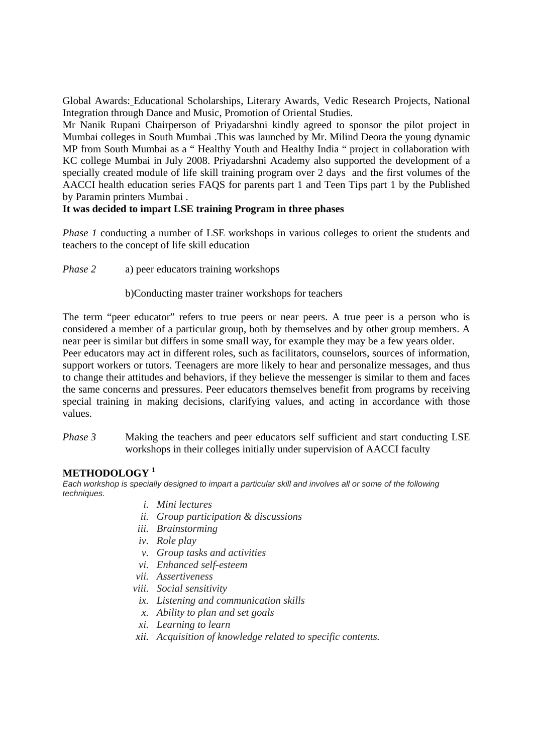Global Awards: Educational Scholarships, Literary Awards, Vedic Research Projects, National Integration through Dance and Music, Promotion of Oriental Studies.

Mr Nanik Rupani Chairperson of Priyadarshni kindly agreed to sponsor the pilot project in Mumbai colleges in South Mumbai .This was launched by Mr. Milind Deora the young dynamic MP from South Mumbai as a " Healthy Youth and Healthy India " project in collaboration with KC college Mumbai in July 2008. Priyadarshni Academy also supported the development of a specially created module of life skill training program over 2 days and the first volumes of the AACCI health education series FAQS for parents part 1 and Teen Tips part 1 by the Published by Paramin printers Mumbai .

## **It was decided to impart LSE training Program in three phases**

*Phase 1* conducting a number of LSE workshops in various colleges to orient the students and teachers to the concept of life skill education

*Phase 2* a) peer educators training workshops

b)Conducting master trainer workshops for teachers

The term "peer educator" refers to true peers or near peers. A true peer is a person who is considered a member of a particular group, both by themselves and by other group members. A near peer is similar but differs in some small way, for example they may be a few years older. Peer educators may act in different roles, such as facilitators, counselors, sources of information, support workers or tutors. Teenagers are more likely to hear and personalize messages, and thus to change their attitudes and behaviors, if they believe the messenger is similar to them and faces the same concerns and pressures. Peer educators themselves benefit from programs by receiving special training in making decisions, clarifying values, and acting in accordance with those values.

*Phase 3* Making the teachers and peer educators self sufficient and start conducting LSE workshops in their colleges initially under supervision of AACCI faculty

#### **METHODOLOGY 1**

*Each workshop is specially designed to impart a particular skill and involves all or some of the following techniques.* 

- *i. Mini lectures*
- *ii. Group participation & discussions*
- *iii. Brainstorming*
- *iv. Role play*
- *v. Group tasks and activities*
- *vi. Enhanced self-esteem*
- *vii. Assertiveness*
- *viii. Social sensitivity* 
	- *ix. Listening and communication skills*
	- *x. Ability to plan and set goals*
- *xi. Learning to learn*
- *xii. Acquisition of knowledge related to specific contents.*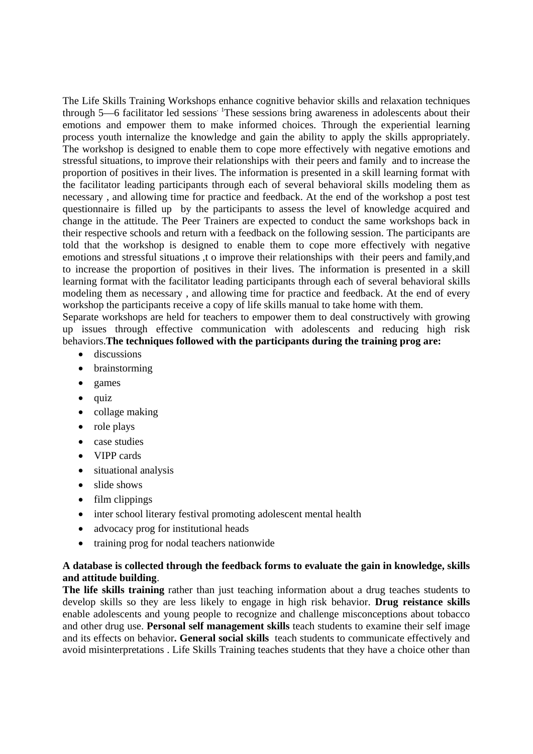The Life Skills Training Workshops enhance cognitive behavior skills and relaxation techniques through 5—6 facilitator led sessions<sup>1</sup>These sessions bring awareness in adolescents about their emotions and empower them to make informed choices. Through the experiential learning process youth internalize the knowledge and gain the ability to apply the skills appropriately. The workshop is designed to enable them to cope more effectively with negative emotions and stressful situations, to improve their relationships with their peers and family and to increase the proportion of positives in their lives. The information is presented in a skill learning format with the facilitator leading participants through each of several behavioral skills modeling them as necessary , and allowing time for practice and feedback. At the end of the workshop a post test questionnaire is filled up by the participants to assess the level of knowledge acquired and change in the attitude. The Peer Trainers are expected to conduct the same workshops back in their respective schools and return with a feedback on the following session. The participants are told that the workshop is designed to enable them to cope more effectively with negative emotions and stressful situations ,t o improve their relationships with their peers and family,and to increase the proportion of positives in their lives. The information is presented in a skill learning format with the facilitator leading participants through each of several behavioral skills modeling them as necessary , and allowing time for practice and feedback. At the end of every workshop the participants receive a copy of life skills manual to take home with them.

Separate workshops are held for teachers to empower them to deal constructively with growing up issues through effective communication with adolescents and reducing high risk behaviors.**The techniques followed with the participants during the training prog are:**

- discussions
- brainstorming
- games
- quiz
- collage making
- role plays
- case studies
- VIPP cards
- situational analysis
- slide shows
- film clippings
- inter school literary festival promoting adolescent mental health
- advocacy prog for institutional heads
- training prog for nodal teachers nationwide

## **A database is collected through the feedback forms to evaluate the gain in knowledge, skills and attitude building**.

**The life skills training** rather than just teaching information about a drug teaches students to develop skills so they are less likely to engage in high risk behavior. **Drug reistance skills** enable adolescents and young people to recognize and challenge misconceptions about tobacco and other drug use. **Personal self management skills** teach students to examine their self image and its effects on behavior**. General social skills** teach students to communicate effectively and avoid misinterpretations . Life Skills Training teaches students that they have a choice other than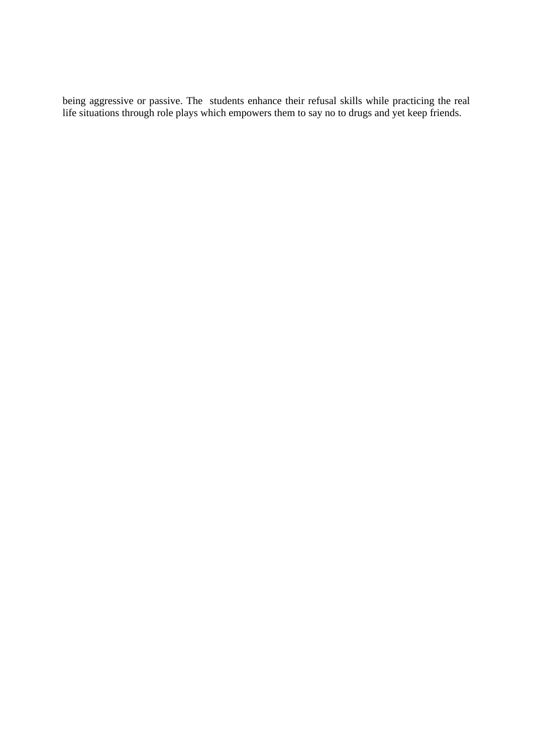being aggressive or passive. The students enhance their refusal skills while practicing the real life situations through role plays which empowers them to say no to drugs and yet keep friends.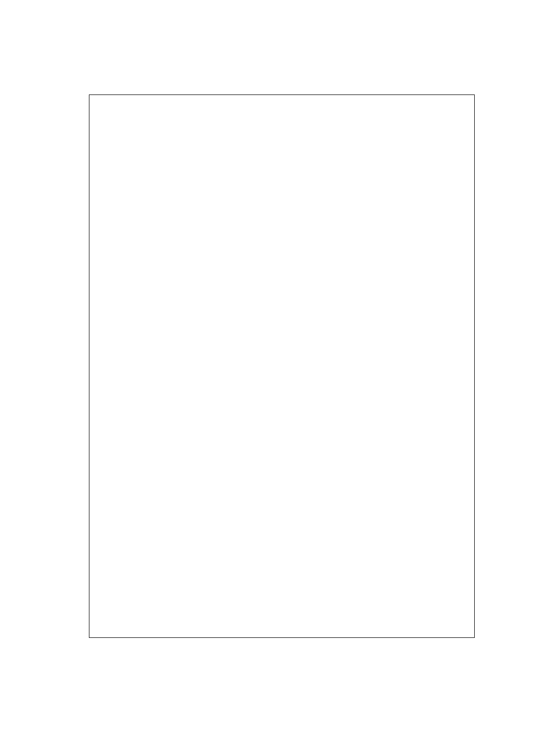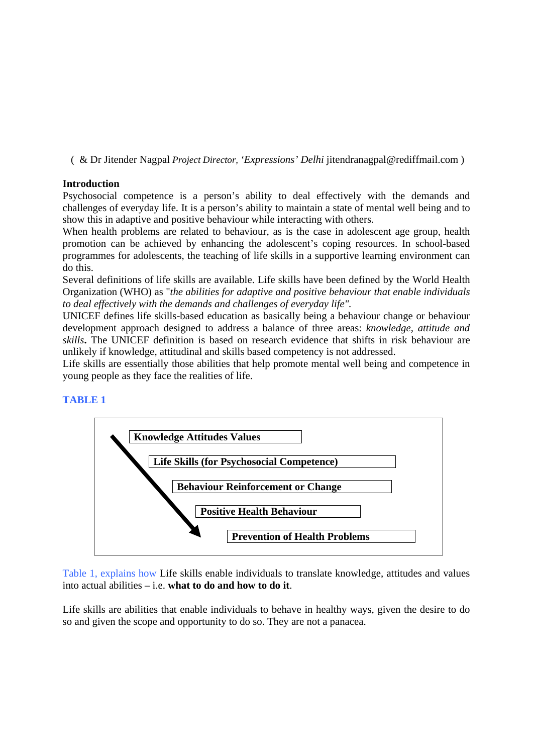( & Dr Jitender Nagpal *Project Director, 'Expressions' Delhi* jitendranagpal@rediffmail.com )

#### **Introduction**

Psychosocial competence is a person's ability to deal effectively with the demands and challenges of everyday life. It is a person's ability to maintain a state of mental well being and to show this in adaptive and positive behaviour while interacting with others.

When health problems are related to behaviour, as is the case in adolescent age group, health promotion can be achieved by enhancing the adolescent's coping resources. In school-based programmes for adolescents, the teaching of life skills in a supportive learning environment can do this.

Several definitions of life skills are available. Life skills have been defined by the World Health Organization (WHO) as "*the abilities for adaptive and positive behaviour that enable individuals to deal effectively with the demands and challenges of everyday life".*

UNICEF defines life skills-based education as basically being a behaviour change or behaviour development approach designed to address a balance of three areas: *knowledge, attitude and skills***.** The UNICEF definition is based on research evidence that shifts in risk behaviour are unlikely if knowledge, attitudinal and skills based competency is not addressed.

Life skills are essentially those abilities that help promote mental well being and competence in young people as they face the realities of life.

# **TABLE 1**



Table 1, explains how Life skills enable individuals to translate knowledge, attitudes and values into actual abilities – i.e. **what to do and how to do it**.

Life skills are abilities that enable individuals to behave in healthy ways, given the desire to do so and given the scope and opportunity to do so. They are not a panacea.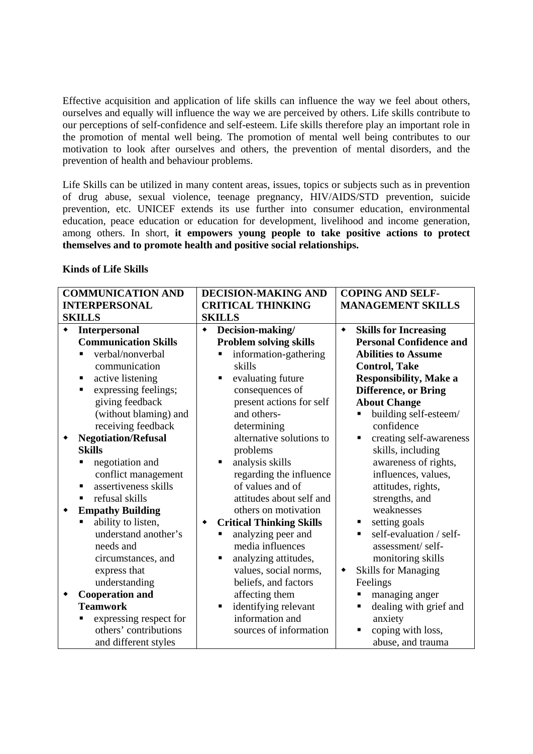Effective acquisition and application of life skills can influence the way we feel about others, ourselves and equally will influence the way we are perceived by others. Life skills contribute to our perceptions of self-confidence and self-esteem. Life skills therefore play an important role in the promotion of mental well being. The promotion of mental well being contributes to our motivation to look after ourselves and others, the prevention of mental disorders, and the prevention of health and behaviour problems.

Life Skills can be utilized in many content areas, issues, topics or subjects such as in prevention of drug abuse, sexual violence, teenage pregnancy, HIV/AIDS/STD prevention, suicide prevention, etc. UNICEF extends its use further into consumer education, environmental education, peace education or education for development, livelihood and income generation, among others. In short, **it empowers young people to take positive actions to protect themselves and to promote health and positive social relationships.** 

## **Kinds of Life Skills**

| <b>COMMUNICATION AND</b> |                             | <b>DECISION-MAKING AND</b>    |                                 | <b>COPING AND SELF-</b>  |                                |                                           |
|--------------------------|-----------------------------|-------------------------------|---------------------------------|--------------------------|--------------------------------|-------------------------------------------|
| <b>INTERPERSONAL</b>     |                             | <b>CRITICAL THINKING</b>      |                                 | <b>MANAGEMENT SKILLS</b> |                                |                                           |
| <b>SKILLS</b>            |                             | <b>SKILLS</b>                 |                                 |                          |                                |                                           |
| <b>Interpersonal</b>     |                             | Decision-making/<br>٠         |                                 | $\blacklozenge$          | <b>Skills for Increasing</b>   |                                           |
|                          | <b>Communication Skills</b> | <b>Problem solving skills</b> |                                 |                          | <b>Personal Confidence and</b> |                                           |
| $\blacksquare$           | verbal/nonverbal            |                               | information-gathering           |                          |                                | <b>Abilities to Assume</b>                |
|                          | communication               |                               | skills                          |                          |                                | <b>Control, Take</b>                      |
| ٠                        | active listening            |                               | evaluating future<br>п          |                          |                                | <b>Responsibility, Make a</b>             |
| $\blacksquare$           | expressing feelings;        |                               | consequences of                 |                          |                                | <b>Difference, or Bring</b>               |
|                          | giving feedback             |                               | present actions for self        |                          |                                | <b>About Change</b>                       |
|                          | (without blaming) and       |                               | and others-                     |                          |                                | building self-esteem/<br>$\blacksquare$   |
|                          | receiving feedback          |                               | determining                     |                          |                                | confidence                                |
| ٠                        | <b>Negotiation/Refusal</b>  |                               | alternative solutions to        |                          |                                | creating self-awareness<br>п              |
| <b>Skills</b>            |                             |                               | problems                        |                          |                                | skills, including                         |
|                          | negotiation and             |                               | analysis skills<br>п            |                          |                                | awareness of rights,                      |
|                          | conflict management         |                               |                                 | regarding the influence  |                                | influences, values,                       |
|                          | assertiveness skills        |                               | of values and of                |                          |                                | attitudes, rights,                        |
| ٠                        | refusal skills              |                               |                                 | attitudes about self and |                                | strengths, and                            |
| <b>Empathy Building</b>  |                             | others on motivation          |                                 |                          | weaknesses                     |                                           |
|                          | ability to listen,          | ٠                             | <b>Critical Thinking Skills</b> |                          |                                | setting goals<br>п                        |
|                          | understand another's        |                               | analyzing peer and              |                          |                                | self-evaluation / self-<br>$\blacksquare$ |
|                          | needs and                   |                               | media influences                |                          |                                | assessment/self-                          |
|                          | circumstances, and          |                               | analyzing attitudes,<br>п       |                          |                                | monitoring skills                         |
|                          | express that                |                               | values, social norms,           |                          | ٠                              | <b>Skills for Managing</b>                |
|                          | understanding               |                               | beliefs, and factors            |                          |                                | Feelings                                  |
| <b>Cooperation and</b>   |                             |                               | affecting them                  |                          |                                | managing anger                            |
| <b>Teamwork</b>          |                             |                               | identifying relevant<br>g,      |                          |                                | dealing with grief and<br>g,              |
|                          | expressing respect for      |                               | information and                 |                          |                                | anxiety                                   |
|                          | others' contributions       |                               | sources of information          |                          |                                | coping with loss,<br>Ξ                    |
|                          | and different styles        |                               |                                 |                          |                                | abuse, and trauma                         |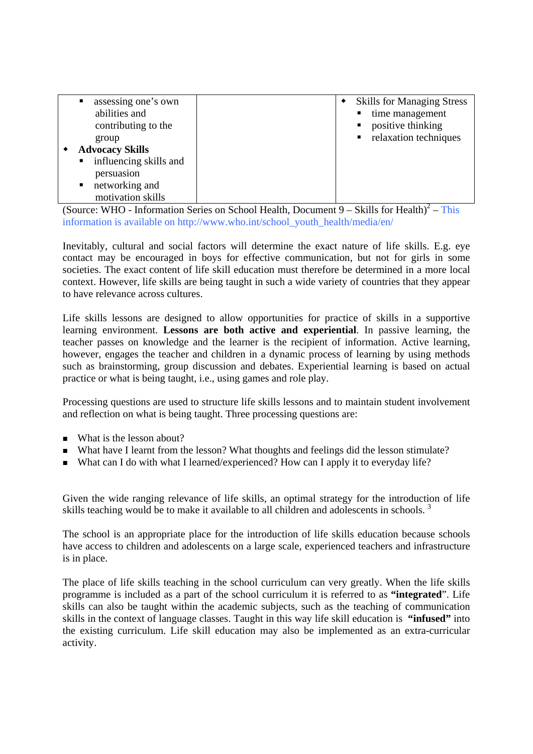|                        | assessing one's own<br>п<br>abilities and<br>contributing to the |  | <b>Skills for Managing Stress</b><br>time management<br>positive thinking |
|------------------------|------------------------------------------------------------------|--|---------------------------------------------------------------------------|
|                        | group                                                            |  | relaxation techniques                                                     |
| <b>Advocacy Skills</b> |                                                                  |  |                                                                           |
|                        | influencing skills and<br>$\blacksquare$                         |  |                                                                           |
|                        | persuasion                                                       |  |                                                                           |
|                        | networking and<br>$\blacksquare$                                 |  |                                                                           |
|                        | motivation skills                                                |  |                                                                           |

(Source: WHO - Information Series on School Health, Document  $9 -$  Skills for Health) $2 -$ This information is available on http://www.who.int/school\_youth\_health/media/en/

Inevitably, cultural and social factors will determine the exact nature of life skills. E.g. eye contact may be encouraged in boys for effective communication, but not for girls in some societies. The exact content of life skill education must therefore be determined in a more local context. However, life skills are being taught in such a wide variety of countries that they appear to have relevance across cultures.

Life skills lessons are designed to allow opportunities for practice of skills in a supportive learning environment. **Lessons are both active and experiential**. In passive learning, the teacher passes on knowledge and the learner is the recipient of information. Active learning, however, engages the teacher and children in a dynamic process of learning by using methods such as brainstorming, group discussion and debates. Experiential learning is based on actual practice or what is being taught, i.e., using games and role play.

Processing questions are used to structure life skills lessons and to maintain student involvement and reflection on what is being taught. Three processing questions are:

- What is the lesson about?
- What have I learnt from the lesson? What thoughts and feelings did the lesson stimulate?
- What can I do with what I learned/experienced? How can I apply it to everyday life?

Given the wide ranging relevance of life skills, an optimal strategy for the introduction of life skills teaching would be to make it available to all children and adolescents in schools.<sup>3</sup>

The school is an appropriate place for the introduction of life skills education because schools have access to children and adolescents on a large scale, experienced teachers and infrastructure is in place.

The place of life skills teaching in the school curriculum can very greatly. When the life skills programme is included as a part of the school curriculum it is referred to as **"integrated**". Life skills can also be taught within the academic subjects, such as the teaching of communication skills in the context of language classes. Taught in this way life skill education is **"infused"** into the existing curriculum. Life skill education may also be implemented as an extra-curricular activity.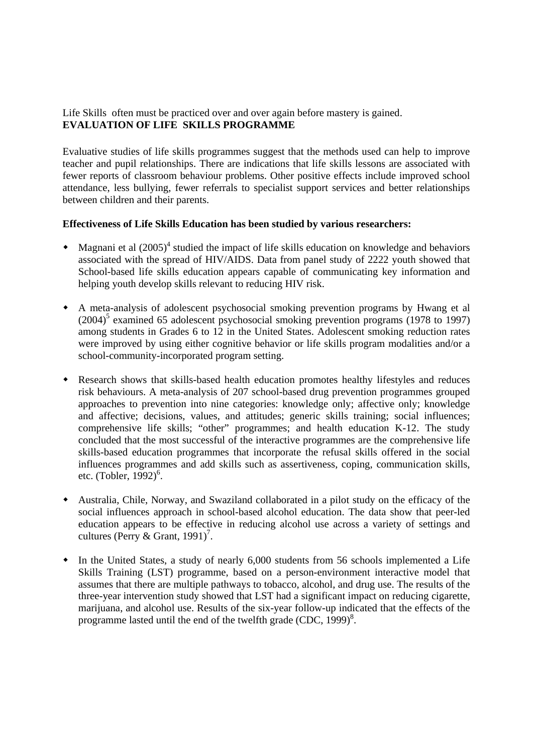#### Life Skills often must be practiced over and over again before mastery is gained. **EVALUATION OF LIFE SKILLS PROGRAMME**

Evaluative studies of life skills programmes suggest that the methods used can help to improve teacher and pupil relationships. There are indications that life skills lessons are associated with fewer reports of classroom behaviour problems. Other positive effects include improved school attendance, less bullying, fewer referrals to specialist support services and better relationships between children and their parents.

#### **Effectiveness of Life Skills Education has been studied by various researchers:**

- $\bullet$  Magnani et al (2005)<sup>4</sup> studied the impact of life skills education on knowledge and behaviors associated with the spread of HIV/AIDS. Data from panel study of 2222 youth showed that School-based life skills education appears capable of communicating key information and helping youth develop skills relevant to reducing HIV risk.
- A meta-analysis of adolescent psychosocial smoking prevention programs by Hwang et al  $(2004)^5$  examined 65 adolescent psychosocial smoking prevention programs (1978 to 1997) among students in Grades 6 to 12 in the United States. Adolescent smoking reduction rates were improved by using either cognitive behavior or life skills program modalities and/or a school-community-incorporated program setting.
- Research shows that skills-based health education promotes healthy lifestyles and reduces risk behaviours. A meta-analysis of 207 school-based drug prevention programmes grouped approaches to prevention into nine categories: knowledge only; affective only; knowledge and affective; decisions, values, and attitudes; generic skills training; social influences; comprehensive life skills; "other" programmes; and health education K-12. The study concluded that the most successful of the interactive programmes are the comprehensive life skills-based education programmes that incorporate the refusal skills offered in the social influences programmes and add skills such as assertiveness, coping, communication skills, etc. (Tobler,  $1992$ )<sup>6</sup>.
- Australia, Chile, Norway, and Swaziland collaborated in a pilot study on the efficacy of the social influences approach in school-based alcohol education. The data show that peer-led education appears to be effective in reducing alcohol use across a variety of settings and cultures (Perry & Grant, 1991)<sup>7</sup>.
- In the United States, a study of nearly 6,000 students from 56 schools implemented a Life Skills Training (LST) programme, based on a person-environment interactive model that assumes that there are multiple pathways to tobacco, alcohol, and drug use. The results of the three-year intervention study showed that LST had a significant impact on reducing cigarette, marijuana, and alcohol use. Results of the six-year follow-up indicated that the effects of the programme lasted until the end of the twelfth grade (CDC,  $1999$ )<sup>8</sup>.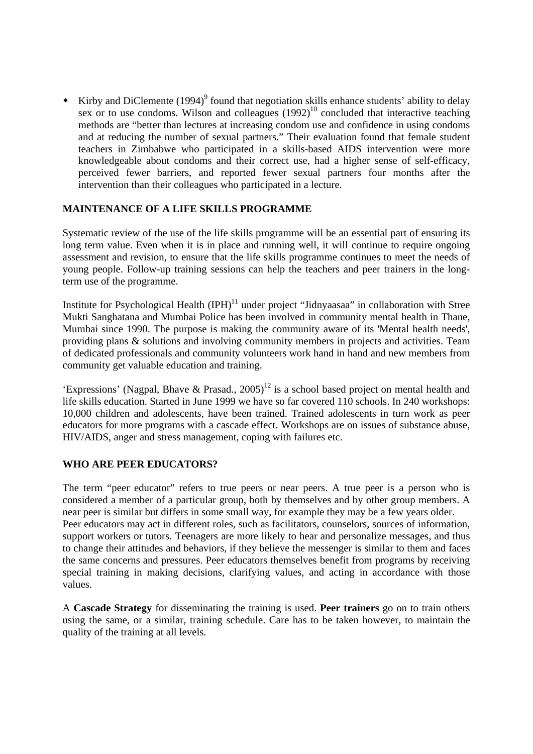• Kirby and DiClemente  $(1994)^9$  found that negotiation skills enhance students' ability to delay sex or to use condoms. Wilson and colleagues  $(1992)^{10}$  concluded that interactive teaching methods are "better than lectures at increasing condom use and confidence in using condoms and at reducing the number of sexual partners." Their evaluation found that female student teachers in Zimbabwe who participated in a skills-based AIDS intervention were more knowledgeable about condoms and their correct use, had a higher sense of self-efficacy, perceived fewer barriers, and reported fewer sexual partners four months after the intervention than their colleagues who participated in a lecture.

#### **MAINTENANCE OF A LIFE SKILLS PROGRAMME**

Systematic review of the use of the life skills programme will be an essential part of ensuring its long term value. Even when it is in place and running well, it will continue to require ongoing assessment and revision, to ensure that the life skills programme continues to meet the needs of young people. Follow-up training sessions can help the teachers and peer trainers in the longterm use of the programme.

Institute for Psychological Health  $(IPH)^{11}$  under project "Jidnyaasaa" in collaboration with Stree Mukti Sanghatana and Mumbai Police has been involved in community mental health in Thane, Mumbai since 1990. The purpose is making the community aware of its 'Mental health needs', providing plans & solutions and involving community members in projects and activities. Team of dedicated professionals and community volunteers work hand in hand and new members from community get valuable education and training.

'Expressions' (Nagpal, Bhave & Prasad., 2005)<sup>12</sup> is a school based project on mental health and life skills education. Started in June 1999 we have so far covered 110 schools. In 240 workshops: 10,000 children and adolescents, have been trained. Trained adolescents in turn work as peer educators for more programs with a cascade effect. Workshops are on issues of substance abuse, HIV/AIDS, anger and stress management, coping with failures etc.

#### **WHO ARE PEER EDUCATORS?**

The term "peer educator" refers to true peers or near peers. A true peer is a person who is considered a member of a particular group, both by themselves and by other group members. A near peer is similar but differs in some small way, for example they may be a few years older. Peer educators may act in different roles, such as facilitators, counselors, sources of information, support workers or tutors. Teenagers are more likely to hear and personalize messages, and thus to change their attitudes and behaviors, if they believe the messenger is similar to them and faces the same concerns and pressures. Peer educators themselves benefit from programs by receiving special training in making decisions, clarifying values, and acting in accordance with those values.

A **Cascade Strategy** for disseminating the training is used. **Peer trainers** go on to train others using the same, or a similar, training schedule. Care has to be taken however, to maintain the quality of the training at all levels.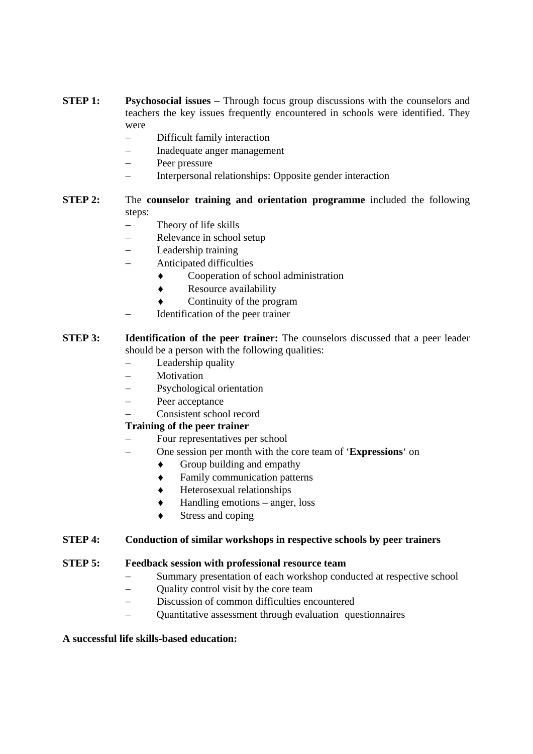- **STEP 1:** Psychosocial issues Through focus group discussions with the counselors and teachers the key issues frequently encountered in schools were identified. They were
	- − Difficult family interaction
	- Inadequate anger management
	- − Peer pressure
	- Interpersonal relationships: Opposite gender interaction
- **STEP 2:** The **counselor training and orientation programme** included the following steps:
	- − Theory of life skills
	- − Relevance in school setup
	- − Leadership training
	- − Anticipated difficulties
		- ♦ Cooperation of school administration
		- ♦ Resource availability
		- Continuity of the program
		- Identification of the peer trainer
- **STEP 3:** Identification of the peer trainer: The counselors discussed that a peer leader should be a person with the following qualities:
	- − Leadership quality
	- − Motivation
	- − Psychological orientation
	- Peer acceptance
	- − Consistent school record

#### **Training of the peer trainer**

- − Four representatives per school
- − One session per month with the core team of '**Expressions**' on
	- ♦ Group building and empathy
	- ♦ Family communication patterns
	- ♦ Heterosexual relationships
	- $\blacklozenge$  Handling emotions anger, loss
	- Stress and coping

#### **STEP 4: Conduction of similar workshops in respective schools by peer trainers**

#### **STEP 5: Feedback session with professional resource team**

- − Summary presentation of each workshop conducted at respective school
- − Quality control visit by the core team
- − Discussion of common difficulties encountered
- − Quantitative assessment through evaluation questionnaires

#### **A successful life skills-based education:**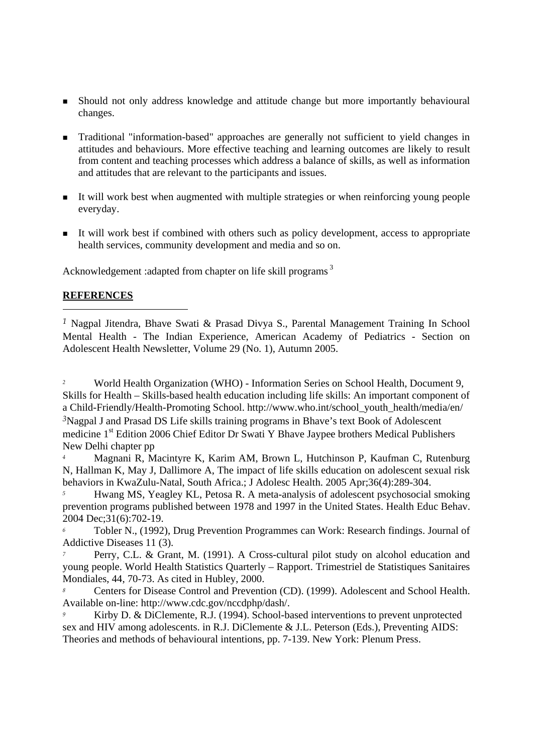- Should not only address knowledge and attitude change but more importantly behavioural changes.
- Traditional "information-based" approaches are generally not sufficient to yield changes in attitudes and behaviours. More effective teaching and learning outcomes are likely to result from content and teaching processes which address a balance of skills, as well as information and attitudes that are relevant to the participants and issues.
- It will work best when augmented with multiple strategies or when reinforcing young people everyday.
- It will work best if combined with others such as policy development, access to appropriate health services, community development and media and so on.

Acknowledgement : adapted from chapter on life skill programs  $3$ 

## **REFERENCES**

*1* Nagpal Jitendra, Bhave Swati & Prasad Divya S., Parental Management Training In School Mental Health - The Indian Experience, American Academy of Pediatrics - Section on Adolescent Health Newsletter, Volume 29 (No. 1), Autumn 2005.

*2* World Health Organization (WHO) - Information Series on School Health, Document 9, Skills for Health – Skills-based health education including life skills: An important component of a Child-Friendly/Health-Promoting School. http://www.who.int/school\_youth\_health/media/en/ *3*Nagpal J and Prasad DS Life skills training programs in Bhave's text Book of Adolescent medicine 1<sup>st</sup> Edition 2006 Chief Editor Dr Swati Y Bhave Jaypee brothers Medical Publishers New Delhi chapter pp

*4* Magnani R, Macintyre K, Karim AM, Brown L, Hutchinson P, Kaufman C, Rutenburg N, Hallman K, May J, Dallimore A, The impact of life skills education on adolescent sexual risk behaviors in KwaZulu-Natal, South Africa.; J Adolesc Health. 2005 Apr;36(4):289-304.

Hwang MS, Yeagley KL, Petosa R. A meta-analysis of adolescent psychosocial smoking prevention programs published between 1978 and 1997 in the United States. Health Educ Behav. 2004 Dec;31(6):702-19.

*6* Tobler N., (1992), Drug Prevention Programmes can Work: Research findings. Journal of Addictive Diseases 11 (3).

*7* Perry, C.L. & Grant, M. (1991). A Cross-cultural pilot study on alcohol education and young people. World Health Statistics Quarterly – Rapport. Trimestriel de Statistiques Sanitaires Mondiales, 44, 70-73. As cited in Hubley, 2000.

*8* Centers for Disease Control and Prevention (CD). (1999). Adolescent and School Health. Available on-line: http://www.cdc.gov/nccdphp/dash/.

Kirby D. & DiClemente, R.J. (1994). School-based interventions to prevent unprotected sex and HIV among adolescents. in R.J. DiClemente & J.L. Peterson (Eds.), Preventing AIDS: Theories and methods of behavioural intentions, pp. 7-139. New York: Plenum Press.